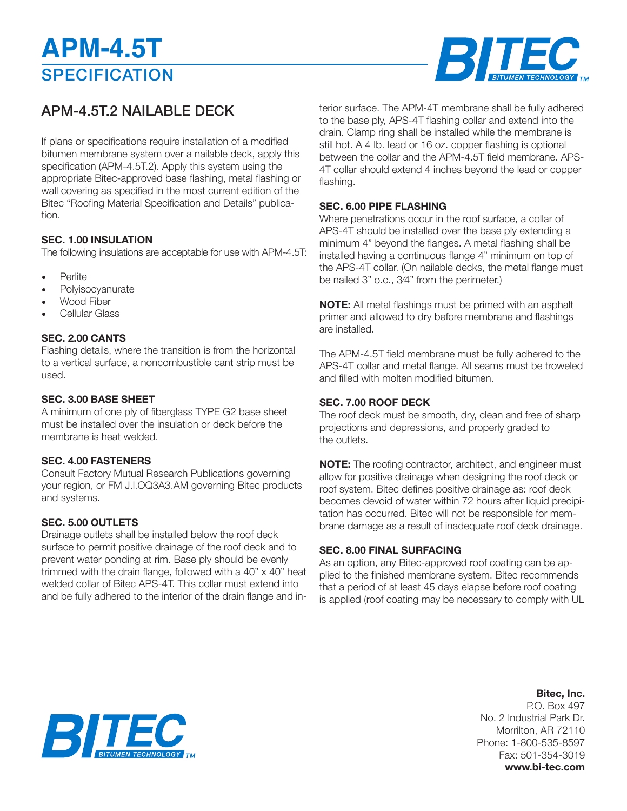# **SPECIFICATION APM-4.5T**



### APM-4.5T.2 NAILABLE DECK

If plans or specifications require installation of a modified bitumen membrane system over a nailable deck, apply this specification (APM-4.5T.2). Apply this system using the appropriate Bitec-approved base flashing, metal flashing or wall covering as specified in the most current edition of the Bitec "Roofing Material Specification and Details" publication.

#### **SEC. 1.00 INSULATION**

The following insulations are acceptable for use with APM-4.5T:

- Perlite
- **Polvisocvanurate**
- Wood Fiber
- Cellular Glass

#### **SEC. 2.00 CANTS**

Flashing details, where the transition is from the horizontal to a vertical surface, a noncombustible cant strip must be used.

#### **SEC. 3.00 BASE SHEET**

A minimum of one ply of fiberglass TYPE G2 base sheet must be installed over the insulation or deck before the membrane is heat welded.

#### **SEC. 4.00 FASTENERS**

Consult Factory Mutual Research Publications governing your region, or FM J.l.OQ3A3.AM governing Bitec products and systems.

#### **SEC. 5.00 OUTLETS**

Drainage outlets shall be installed below the roof deck surface to permit positive drainage of the roof deck and to prevent water ponding at rim. Base ply should be evenly trimmed with the drain flange, followed with a 40" x 40" heat welded collar of Bitec APS-4T. This collar must extend into and be fully adhered to the interior of the drain flange and in-

terior surface. The APM-4T membrane shall be fully adhered to the base ply, APS-4T flashing collar and extend into the drain. Clamp ring shall be installed while the membrane is still hot. A 4 Ib. Iead or 16 oz. copper flashing is optional between the collar and the APM-4.5T field membrane. APS-4T collar should extend 4 inches beyond the lead or copper flashing.

#### **SEC. 6.00 PIPE FLASHING**

Where penetrations occur in the roof surface, a collar of APS-4T should be installed over the base ply extending a minimum 4" beyond the flanges. A metal flashing shall be installed having a continuous flange 4" minimum on top of the APS-4T collar. (On nailable decks, the metal flange must be nailed 3" o.c., 3⁄4" from the perimeter.)

**NOTE:** All metal flashings must be primed with an asphalt primer and allowed to dry before membrane and flashings are installed.

The APM-4.5T field membrane must be fully adhered to the APS-4T collar and metal flange. All seams must be troweled and filled with molten modified bitumen.

#### **SEC. 7.00 ROOF DECK**

The roof deck must be smooth, dry, clean and free of sharp projections and depressions, and properly graded to the outlets.

**NOTE:** The roofing contractor, architect, and engineer must allow for positive drainage when designing the roof deck or roof system. Bitec defines positive drainage as: roof deck becomes devoid of water within 72 hours after liquid precipitation has occurred. Bitec will not be responsible for membrane damage as a result of inadequate roof deck drainage.

#### **SEC. 8.00 FINAL SURFACING**

As an option, any Bitec-approved roof coating can be applied to the finished membrane system. Bitec recommends that a period of at least 45 days elapse before roof coating is applied (roof coating may be necessary to comply with UL

### **Bitec, Inc.**

P.O. Box 497 No. 2 Industrial Park Dr. Morrilton, AR 72110 Phone: 1-800-535-8597 Fax: 501-354-3019 **www.bi-tec.com**